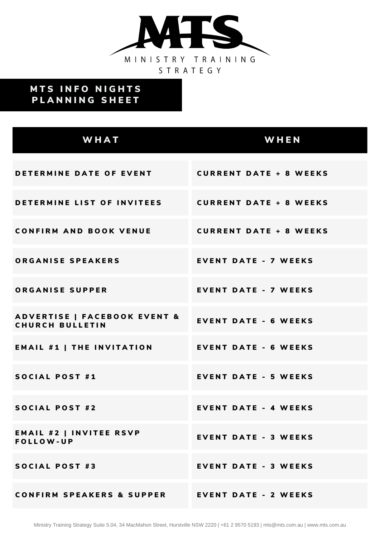

## **MTS INFO NIGHTS** PLANNING SHEET

| WHAT                                                              | WHEN                          |
|-------------------------------------------------------------------|-------------------------------|
| DETERMINE DATE OF EVENT                                           | <b>CURRENT DATE + 8 WEEKS</b> |
| DETERMINE LIST OF INVITEES                                        | <b>CURRENT DATE + 8 WEEKS</b> |
| <b>CONFIRM AND BOOK VENUE</b>                                     | <b>CURRENT DATE + 8 WEEKS</b> |
| ORGANISE SPEAKERS                                                 | <b>EVENT DATE - 7 WEEKS</b>   |
| <b>ORGANISE SUPPER</b>                                            | <b>EVENT DATE - 7 WEEKS</b>   |
| <b>ADVERTISE   FACEBOOK EVENT &amp;</b><br><b>CHURCH BULLETIN</b> | <b>EVENT DATE - 6 WEEKS</b>   |
| <b>EMAIL #1   THE INVITATION</b>                                  | <b>EVENT DATE - 6 WEEKS</b>   |
| <b>SOCIAL POST #1</b>                                             | <b>EVENT DATE - 5 WEEKS</b>   |
| <b>SOCIAL POST #2</b>                                             | <b>EVENT DATE - 4 WEEKS</b>   |
| <b>EMAIL #2   INVITEE RSVP</b><br><b>FOLLOW-UP</b>                | <b>EVENT DATE - 3 WEEKS</b>   |
| <b>SOCIAL POST #3</b>                                             | <b>EVENT DATE - 3 WEEKS</b>   |
| <b>CONFIRM SPEAKERS &amp; SUPPER EVENT DATE - 2 WEEKS</b>         |                               |